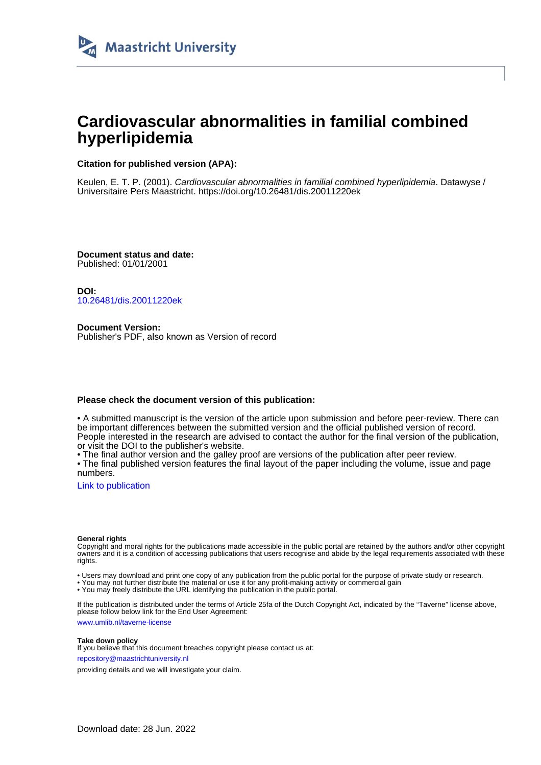

# **Cardiovascular abnormalities in familial combined hyperlipidemia**

### **Citation for published version (APA):**

Keulen, E. T. P. (2001). Cardiovascular abnormalities in familial combined hyperlipidemia. Datawyse / Universitaire Pers Maastricht.<https://doi.org/10.26481/dis.20011220ek>

**Document status and date:** Published: 01/01/2001

**DOI:** [10.26481/dis.20011220ek](https://doi.org/10.26481/dis.20011220ek)

**Document Version:** Publisher's PDF, also known as Version of record

### **Please check the document version of this publication:**

• A submitted manuscript is the version of the article upon submission and before peer-review. There can be important differences between the submitted version and the official published version of record. People interested in the research are advised to contact the author for the final version of the publication, or visit the DOI to the publisher's website.

• The final author version and the galley proof are versions of the publication after peer review.

• The final published version features the final layout of the paper including the volume, issue and page numbers.

[Link to publication](https://cris.maastrichtuniversity.nl/en/publications/827a2a20-d241-4f5f-9361-3cc34e5190cb)

#### **General rights**

Copyright and moral rights for the publications made accessible in the public portal are retained by the authors and/or other copyright owners and it is a condition of accessing publications that users recognise and abide by the legal requirements associated with these rights.

• Users may download and print one copy of any publication from the public portal for the purpose of private study or research.

• You may not further distribute the material or use it for any profit-making activity or commercial gain

• You may freely distribute the URL identifying the publication in the public portal.

If the publication is distributed under the terms of Article 25fa of the Dutch Copyright Act, indicated by the "Taverne" license above, please follow below link for the End User Agreement:

www.umlib.nl/taverne-license

#### **Take down policy**

If you believe that this document breaches copyright please contact us at: repository@maastrichtuniversity.nl

providing details and we will investigate your claim.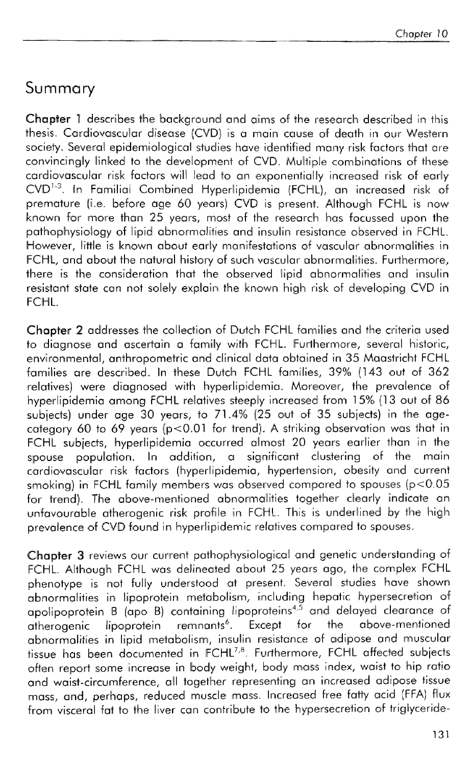# Summary

**Chapter 1** describes the background and aims of the research described in this thesis. Cardiovascular disease (CVD) is a main cause of death in our Western society. Several epidemiological studies have identified many risk factors that are convincingly linked to the development of CVD. Multiple combinations of these cardiovascular risk factors will lead to an exponentially increased risk of early convincingly linked to the development of CVD. Multiple combinations of these<br>cardiovascular risk factors will lead to an exponentially increased risk of early<br>CVD<sup>1-3</sup>. In Familial Combined Hyperlipidemia (FCHL), an incre premature (i.e. before age 60 years) CVD is present. Although FCHL is now known for more than  $25$  years, most of the research has focussed upon the pathophysiology of lipid abnormalities and insulin resistance observed in FCHL. However, little is known about early manifestations of vascular abnormalities in FCHL, and about the natural history of such vascular abnormalities. Furthermore, there is the consideration that the observed lipid abnormalities and insulin resistant state can not solely explain the known high risk of developing CVD in FCHI<sub>1</sub>

Chapter 2 addresses the collection of Dutch FCHL families and the criteria used to diagnose and ascertain a family with FCHL. Furthermore, several historic, environmental, anthropometric and clinical data obtained in 35 Maastricht FCHL families are described. In these Dutch FCHL families, 39% (143 out of 362 relatives) were diagnosed with hyperlipidemia. Moreover, the prevalence of hyperlipidemia among FCHL relatives steeply increased from 15% (13 out of 86  $subjects)$  under age 30 years, to 71.4% (25 out of 35 subjects) in the agecategory 60 to 69 years (p<0.01 for trend). A striking observation was that in FCHL subjects, hyperlipidemia occurred almost 20 years earlier than in the spouse population. In addition, a significant clustering of the main cardiovascular risk factors (hyperlipidemia, hypertension, obesity and current smoking) in FCHL family members was observed compared to spouses ( $p < 0.05$ ) for trend). The above-mentioned abnormalities together clearly indicate an unfavourable atherogenic risk profile in FCHL. This is underlined by the high prevalence of CVD found in hyperlipidemic relatives compared to spouses.

Chapter 3 reviews our current pathophyslalogical and genetic understanding of FCHL. Although FCHL was delineated about 25 years ago, the complex FCHL phenotype is not fully understood at present. Several studies have shown abnormalities in lipoprotein metabolism, including hepatic hypersecretion of apolipoprotein B (apo B) containing lipoproteins<sup>4,5</sup> and delayed clearance of atherogenic lipoprotein remnants<sup>6</sup>. Except for the above-mentioned  $remnants<sup>6</sup>.$  Except abnormalities in lipid metabolism, insulin resistance of adipose and muscular tissue has been documented in FCHL<sup>7,8</sup>. Furthermore, FCHL affected subjects often report some increase in body weight, body mass index, waist to hip ratio and waist-circumference, all together representing an increased adlipose tissue mass, and, perhaps, reduced muscle mass. Increased free fatty acid (FFA) flux from visceral fat to the liver can contribute to the hypersecretion of trialyceride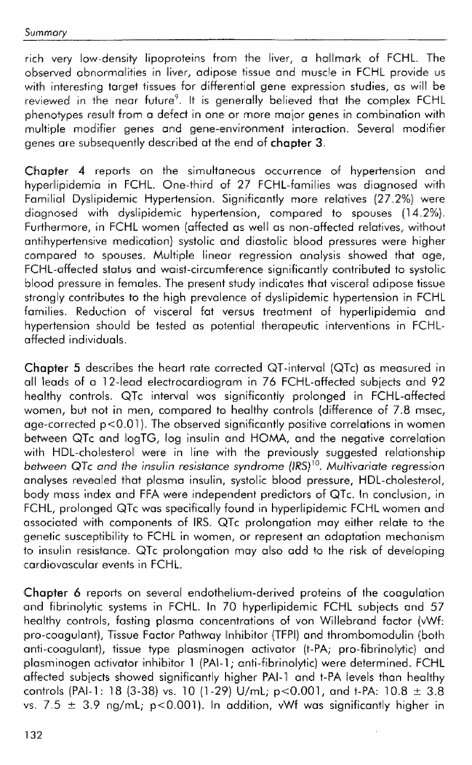rich very low-density lipoproteins from the liver, a hallmark of FCHL. The observed abnormalities in liver, adipose tissue and muscle in FCHL provide ws with interesting target tissues for differential gene expression studies, as will be reviewed in the near future<sup>9</sup>. It is generally believed that the complex FCHL phenotypes result from a defect in one or more major genes in combination with multiple modifier genes and gene-environment interaction. Several modifier genes are subsequently described at the end of **chapter** 3.

Chapter **4** reports on the sirnultaneous occurrence of hypertension and hyperlipidemia in FCHL. One-third of 27 FCHL-families was diagnosed with Familial Dyslipidemic Hypertension. Significantly more rellatives (27.2%] were diaanosed with dyslipidemic hypertension, compared to spouses (14.2%). Furthermore, in FCHL women (affected as well as non-affected relatives, without antihypertensive medication) systolic and diastolic blood pressures were higher compared to spouses. Multiple linear regression analysis showed that age, FCHL-affected status and waist-circumference significantly contributed to systolic blood pressure in females. The present study indicates that visceral adipose tissue strongly contributes to the high prevalence of dyslipidemic hypertension in FCHL families. Reduction of visceral fat versus treatment of hyperlipidemia and hypertension should be tested as potential therapeutic interventions in FCHLaffected individuals.

**Chapter 5** describes the heart rate corrected QT-interval (QTc) as measured in all leads of a 12-lead electrocardiogram in 76 FCHL-affected subjeds and 92 healthy controls. QTc interval was significantly prolonged in FCHL-affected women, but not in men, compared to healthy controls (difference of 7.8 msec, age-corrected p<O.01). The observed significantly positive correlations in women between QTc and logTG, log insulin and HOMA, and the negative correlation with HDL-cholesterol were in line with the previously suggested relationship between QTc and the insulin resistance syndrome (IRS)<sup>10</sup>. Multivariate regression analyses revealed that plasma insulin, systolic blood pressure, HDL-cholesterol, body mass index and FFA were tndependent predictors of QTc. In conclusion, in FCHL, prolonged QTc was specifically found in hyperlipidemic FCHL women and associated with components of IRS. QTc prolongation may either relate to the genetic susceptibility to FCHL in women, or represent an adaptation mechanism to insulin resistance. QTc prolongation may also add to the risk of developing cardiovascular events in FCHL.

Chapter 6 reports on several endothelium-derived proteins of the coagulation and fibrinolytic systems in FCHL. In 70 hyperlipidemic FCHL subjects and 57 healthy controls, fasting plasma concentrations of von Willebrand factor (vWf: pro-coagulant), Tissue Factor Pathway Inhibitor (TFPI) and thrombomodulin (both anti-coagulant), tissue type plasminogen activator (t-PA; pro-fibrinolytic) and plosniinogen activator inhibitor 1 (PAI-1; anti-fibrinolytic) were determined. FCHL affected subjects showed significantly higher PAI-1 and t-PA levels than healthy controls (PAI-1: 18 (3-38) vs. 10 (1-29) U/mL; p<0.001, and t-PA:  $10.8 \pm 3.8$ vs. 7.5  $\pm$  3.9 ng/mL; p<0.001). In addition, vWf was significantly higher in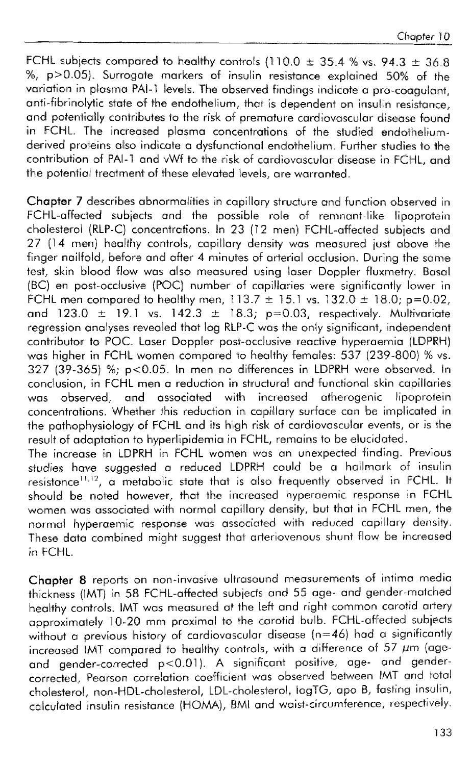FCHL subjects compared to healthy controls (110.0  $\pm$  35.4 % vs. 94.3  $\pm$  36.8 %, p>0.015). Surrogate markers **0%** insullin resistance explained *50%* of the variation in plasma PAI-1 levels. The observed findings indicate a pro-coagulant, anti-fibrinolytic state of the endothelium, that is dependent on insulin resistance. and potentially contributes to the risk of premature cardiovascular disease found in FCHL. The increased plasma concentrations of the studied endotheliumderived proteins also indicate a dysfunctional endothelium. Further studies to the contribution of PAI-1 and vWf to the risk of cardiovascular disease in FCHL, and the potential treatmemi of these elevated levels, are warranted.

Chapter 7 describes abnormalities in capillary structure and function observed in FCHL-affected subjects and the possible role of remnant-like lipoprotein chalesterol (RLP-C) concentrations. In 23 (12 men) FCHL-affected subjects and 27 (14 men] healthy controls, capillary densify was measwred just above the finger nailfold, before and after 4 minutes of arterial occlusion. During the same test, skin blood flow was also measured using laser Doppler fluxmetry. Basal (BC] en post-occlusive (POC) number of capillaries were significantly lower in FCHL men compared to healthy men,  $113.7 \pm 15.1$  vs.  $132.0 \pm 18.0$ ; p=0.02, and  $123.0 \pm 19.1$  vs.  $142.3 \pm 18.3$ ; p=0.03, respectively. Multivariate regression analyses revealed that log RLP-C was the only significant, independent contributor to POC. Laser Doppler post-occlusive reactive hyperaemia (LDPRH) was higher in FCHL women compared to healthy females:  $537$  (239-800) % vs. 327 (39-365) %; p<0.05. In men no differences in LDPRH were observed. In conclusion, in FCHL men a reduction in structural and functional skin capillaries was observed, and associated with increased atherogenic lipoprotein concentrations. Whether this reduction in capillary surface can be implicated in the pathophysiology of FCHL and its high risk of cardiovascular events, or is the result of adaptation to hyperlipidemia in FCHL, remains to be elucidated. The increase in LDPRH in FCHL women was an unexpected finding. Previous

studies have suggested a reduced LDPRH could be a hallmark of insulin resistance<sup>11,12</sup>, a metabolic state that is also frequently observed in FCHL. It should be noted however, that the increased hyperaemic response in FCHL women was associated with normal capillary density, but that in FCHL men, the normal hyperaemic response was associated with reduced capillary density. These data combined might suggest that arteriovenous shunt flow be increased in FCHL.

Chapter 8 reports on non-invasive ultrasound measurements of intima media thickness (IMT) in 58 FCHL-affected subjects and 55 age- and gender-matched healthy controls. IMT was measured at the left and right common carotid artery approximately 10-20 mm proximal to the carotid bulb. FCHL-affected subjects without a previous history of cardiovascular disease (n=46) had a significantly increased IMT compared to healthy controls, with a difference of 57  $\mu$ m (ageand gender-corrected p<0.01). A significant positive, age- and gendercorrected, Pearson correlation coefficient was observed between IMT and total cholesterol, non-HDL-cholesterol, LDL-cholesterol, logTG, apo B, fasting insulin, calculated insulin resistance (HOMA), BMI and waist-circumference, respectively.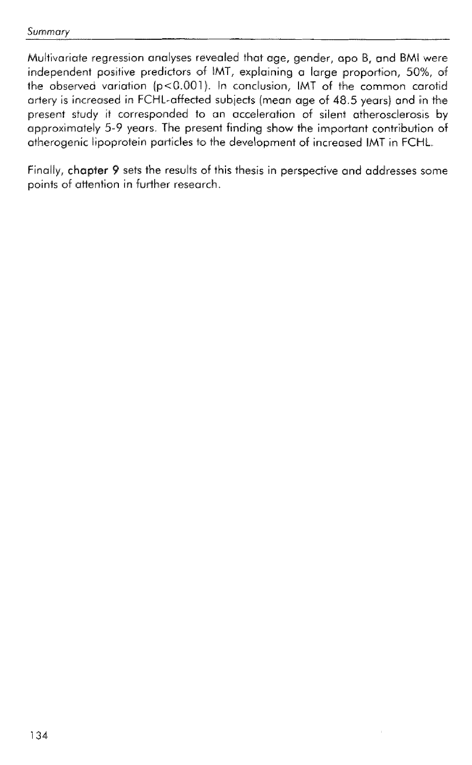Multivariate regression analyses revealed that age, gender, opo B, and BMI were independent positive predictors of IMT, explaining a large proportion, 50%, of the observed variation ( $p$ <0.001). In conclusion, IMT of the common carotid arterv is increased in FCHL-affected subjects (mean age of 48.5 years) and in the present study it corresponded to an acceleration of silent atherosclerosis by approximately 5-9 years. The present finding show the important contribution of atherogenic lipoprotein particles to the development of increased IMT in FCHL.

Finally, chapter 9 sets the results of this thesis in perspective and addresses some points of attention in further research.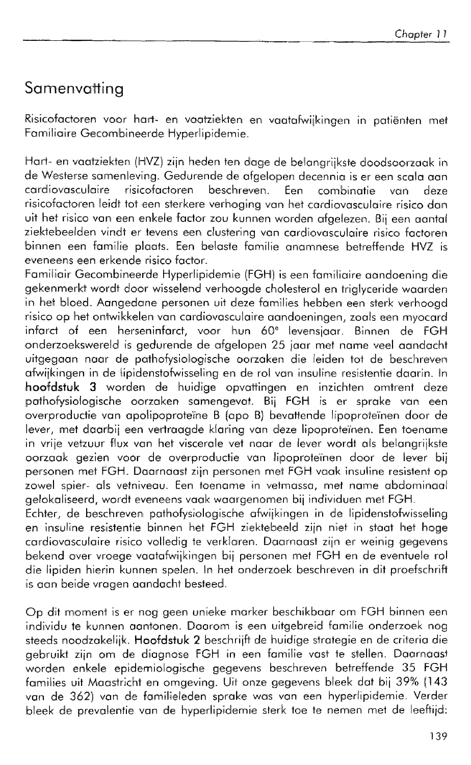# Samenvatting

Risicofactoren voor hart- en vaatziekten en vaatafwijkingen in patiënten met Familiaire Gecombineerde Hyperlipidemie.

Hart- en vaatziekten (MIVZ) zijn heden ten dage de belangrijkste doodsoorzaak in de Westerse samenleving. Gedurende de afgelopen decennia is er een scala aan<br>cardiovasculaire risicofactoren beschreven. Een combinatie van deze cardiovasculaire risicofactoren beschreven. Een combinatie van deze risicofactoren leidt tot een sterkere verhoging van het cardiovasculaire risico dan uit het risico van een enkele factor zou kunnen worden afgelezen. Bij een aantal ziektebeelden vindt er tevens een clustering van cardiovasculaire risico factoren binnen een familie plaats. Een belaste familie anamnese betreffende HVZ is eveneens een erkende risico factor.

Familiair Gecombineerde Hyperlipidemie (FGH) is een familiaire aandoening die gekenmerkt wordt door wisselend verhoogde cholesterol en triglyceride waarden in het bloed. Aangedane personen ult deze families hebben een sterk verhoogd risico op het ontwikkelen van cardiovasculaire aandoeningen, zoals een myocard infarct of een herseninfarct, voor hun 60° levensjaar. Binnen de FGH onderzoekswereld is gedurende de afgelopen 25 jaar met name veel aandacht uitgegaan naar de pathofysiologische oorzaken die leiden tot de beschreven afwijkingen in de lipidenstofwisseling en de rol van insulline resistentie daarin. In hoofdstuk 3 worden de huidige opvattingen en inzichten omtrent deze pathofysiologische oorzaken samengevat. Bij FGH is er sprake van een overproductie van apolipoprote'ine B (apo B) bevattende lipsprokeinen door de lever, met daarbij een vertraagde klaring van deze lipoproteïnen. Een toename in vrije vetzuur flux van hei viscerale vet naar de lever wordt als belangrijksfe oarsaak gezien voor de overproductie van lipoproteiinen door de lever bij personen met FGH. Daarnaast zijn personen met FGH vaak insuline resistent op zowel spier- als vetniveau. Een toename in vetmassa, me1 name abdominaal gelokaliseerd, wordt eveneens vaak waargenomen bij individuen met FGH.

Echter, de beschreven pathofysiologische afwijkingen in de lipidenstofwisseling en insuline resistentie binnen het FGH ziektebeeld zijn niet in staat het hoge cardiovasculaire risico volledig te verklaren. Daarnaast zijn er weinig gegevens bekend over vroege vaatafwijkingen bij personen met FGH en de eventuele rol die lipiden hierin kunnen spelen. In het onderzoek beschreven in dit proefschrift is aan beide vragen aandacht besteed

Op dit moment is er nog geen unieke marker beschikbaar om FGH binnen een indliwidu te kunnen aantonen. Daarom is een uitgebreid Familie onderzoek nog steeds noodzakelijk. Hoofdstuk 2 beschrijft de huidige strategie en de criteria die gebruikt zijn om de diagnose FGH in een familie vast te stellen. Daarnaast worden enkele epidemiologische gegevens beschreven betreffende 35 FGH families uit Maastricht en omgeving. Uit onze gegevens bleek dat bij 39% (143 van de 362) van de familieleden sprake was van een hyperlipidemie. Verder bleek de prevalentie van de hyperlipidemie sterk toe te nemen met de leeftijd: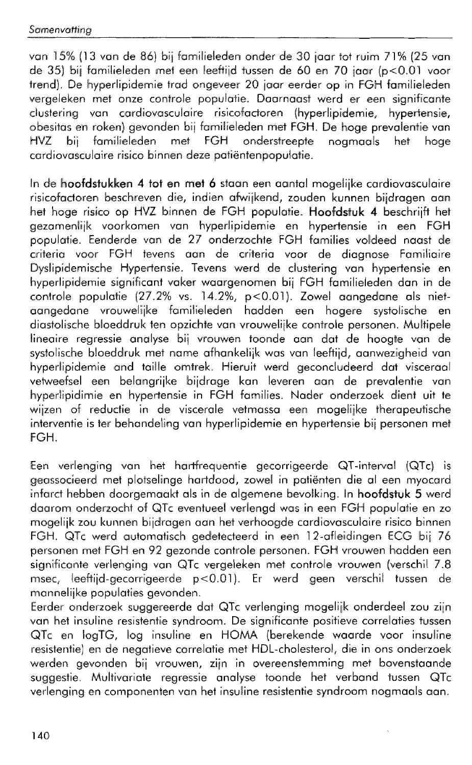van 15% (13 van de 86) bij familieleden onder de 30 jaar tot ruim 71% (25 van de 35) bij familieleden met een leeftijd tussen de 60 en 70 jaar (p<0.01 voor trend). De hyperlipidemie trad ongeveer 20 jaar eerder op in FGH familieleden vergeleken met onze controle populatie. Daarnaast werd er een significante clustering van cardiovasculaire risicofactoren (hyperlipidemie, hypertensie, obesitas en roken) gevonden bij familieleden met FGH. De hoge prevalentie van<br>HVZ bij familieleden met FGH onderstreepte noamaals het hoge HVZ bij familieleden met FGH onderstreepte nogmaals het hoge cardiovasculaire risico binnen deze pati6ntenpopulatie.

In de h~oofds+ukken **4 tot en met** 6 staan een aantal mogelijke cardiovasculaire risicafadoren beschreven die, indien afwijkend, zouden kunnen bildragen aan het hoge risico op HVZ binnen de FGH populatie. **Hoofdstuk 4** beschrijft het gezamenlijk voorkomen van hyperlipidemie en hypertensie in een FGH populatie. Eenderde van de 27 onderzochte FGH families voldeed naast de .<br>criteria voor FGH tevens aan de criteria voor de diaanose Familiaire Dyslipidemischa Hypertensie. Tevens werd de clustering van hypertensie en hyperlipidemie significant vaker waargenomen bij FGH familieleden dan in de controle populatie (27.2% vs. 14.2%, p<0.01). Zowel aangedane als niet-<br>aangedane vrouwelijke familieleden hadden een hogere systolische en aangedane vrouwelijke familieleden hadden een hogere systolische diastolische bloeddruk ten opzichte van vrouwelijke controle personen. Multipele lineaire regressie analyse bii vrouwen toonde aan dat de hoogte van de systolische bloeddruk met name afhankelijk was van leeftijd, aanwezigheid van hyperlipidemie and taille omtrek. Hieruit werd geconcludeerd dat visceraal vetweefsel een belangrijke bijdrage kan leveren aan de prevalentie van hyperlipidimie en hypertensie in FGH families. Nader onderzoek dient uit te wijzen of reductie in de viscerale vetmassa een mogelijke therapeutische interventie is ter behandeling van hyperlipidemie en hypertensie bii personen met FGH.

Een verlenging van het hartfrequentie gecorrigeerde QT-intewal (QTc) is geassocieerd met plotselinge hartdood, zowel in patiënten die al een myocard infarct hebben doorgemaakt als in de algemene bevolking. In **hoofdstuk** 5 werd daarom onderzocht of QTc eventueel verlengd was in een FGH populatie en zo mogelijk zou kunnen bijdragen aan het verhoogde cardiovasculaire risico binnen FGH. QTc werd automatisch gedetecteerd in een 12-afleidingen ECG bij 76 personen met FGH en 92 gezonde controle personen. FGH vrouwen hadden een significante verlenging van QTc vergeleken met controle vrouwen (verschil 7.8 msec, leeftijd-gecorrigeerde p<0.01). Er werd geen verschil tussen de mannelijke populaties gevonden.

Eerder onderzoek suggereerde dat QTc verlenging mogelijk onderdeeil zou ziin van het insuline resistentie syndroom. De significante positieve correlaties tussen QTc en iagTG, log insuline en HOMA (berekende waarde voor insuline resistentie] en de negatieve correlatie met HDL-cholesterol, die in ons onderzoek werden gevonden bij vrouwen, zijn in overeenstemming met bovenstaande suggestie. Multivariate regressie analyse toonde het verband tussen QTc verlenging en componenten van het insuline resistentie syndroom nogmaals aan.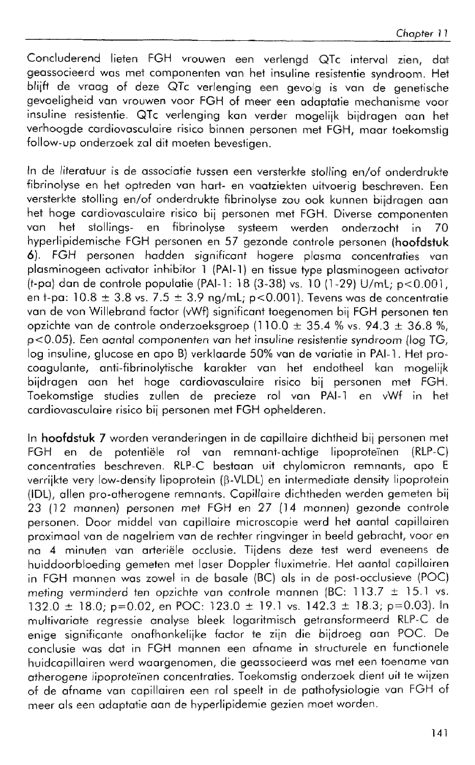Concluderend lieten FGH vrouwen een verlengd QTc interval zien, dat geassocieerd was met componenten van het insuline resistentie syndroom. Het blijft de vraag of deze QTc verlenging een gevolg is van de genetische gevoeligheid van vrouwen voor FGH of meer een adaptatie mechanisme voor insuline resistentie. QTc verlenging kan verder mogelijk bijdragen aan het verhoogde cardiovasculaire risico binnen personen met FGM, maar toekomstig follow-up onderzoek zal dit moeten bevestigen.

In de literatuur is de associatie tussen een versterkte stolling en/of onderdrukte fibrinolyse en het optreden van hart- en vaatziekten uitvoerig beschreven. Een versterkte stolling en/of onderdrukte fibrinolyse zou ook kunnen bijdragen aan het hoge cardiovasculaire risico bij personen met FGH. Diverse componenten<br>van het stollings- en fibrinolyse systeem werden onderzocht in 70 en fibrinolyse systeem werden onderzocht in 70 hyperlipidemische FGH personen en 57 gezonde controle personen **(hoofdstuk 6).** FGH personen hadden significant hogere plasma concentraties vain plasminogeen activator inhibitor 1 (PAI-1) en tissue type plasminogeen activator (t-pa) dan de controle populatie (PAI-1: 18 (3-38) vs. 10 (1-29) U/mL; p<0.001, en t-pa:  $10.8 \pm 3.8$  vs.  $7.5 \pm 3.9$  ng/mL; p<0.001). Tevens was de concentratie van de von Willebrand factor (vWf) significant toegenomen bij FGH personen ten opzichte van de controle onderzoeksgroep (110.0  $\pm$  35.4 % vs. 94.3  $\pm$  36.8 %, p<0.0§). Een aantal companenfen van het insuline resistentie syndroom [log TG, log insuline, glucose en apo B) verklaarde 50% van de variatie in PAI-1. Het procoagulante, anti-fibrinolytische karakter van het endotheel kan mogelijk bijdragen aan het hoge cardiovasculaire risico bii personen met FGW. Toekomstige studies zullen de precieze rol van PAI-1 en vWf in het cardiovasculaire risico bij personen met FGH ophelderen.

In **hoofdstuk 7** worden veranderingen in de capillaire dichtheid bij personen met<br>FGH en de potentiële rol van remnant-achtiae lipoproteïnen (RLP-C) FGH en de poferutiele rol van remnant-ochtige Iipoprote'ínen (RLP-C) concentraties beschreven. RLP-C bestaan uit chylomicron remnants, apo E verrijkte very low-density lipoprotein (B-VLDL) en intermediate density lipoprotein (IDL), allen pro-atherogene remnants. Capillaire dichtheden werden gemeten bij 23 (12 mannen) personen met FGH en 27 (14 mannen) gezonde controle personen. Door middel van capillaire microscopie werd het aantal capillairen proximaal van de nagelriem van de rechter ringvinger in beeld gebracht, voor en na 4 minuten van arteriële occlusie. Tijdens deze test werd eveneens de huiddoorbloeding gemeten met laser Doppler fluximetrie. Het aantal capillairen in FGH mannen was zowel in de basale (&C) als in de post-occlusieve {PQC) meting verminderd ten opzichte van controle mannen  $|BC: 113.7 \pm 15.1$  vs.  $132.0 \pm 18.0$ ; p=0.02, en POC:  $123.0 \pm 19.1$  vs.  $142.3 \pm 18.3$ ; p=0.03). In multivariate regressie analyse bleek logaritmisch getransformeerd RLP-C de enige significante onafhankelijke factor te zijn die bijdroeg aan POC. De conclusie was dat in FGH mannen een afname in structurele en functionele huidcapillairen werd waargenomen, die geassocieerd was met een toename van atherogene lipoproteïnen concentraties. Toekomstig onderzoek dient uit te wijzen of de afname van capillairen een rol speelt in de pathofysiologie van FGH of meer als een adaptatie aan de hyperlipidemie gezien moet worden.